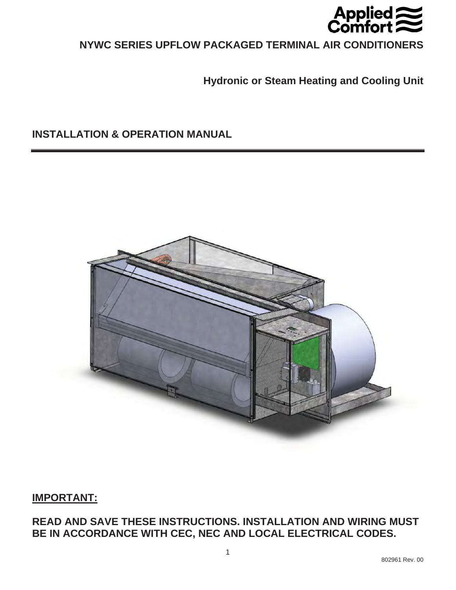

# **NYWC SERIES UPFLOW PACKAGED TERMINAL AIR CONDITIONERS**

**Hydronic or Steam Heating and Cooling Unit** 

**INSTALLATION & OPERATION MANUAL** 



# **IMPORTANT:**

**READ AND SAVE THESE INSTRUCTIONS. INSTALLATION AND WIRING MUST BE IN ACCORDANCE WITH CEC, NEC AND LOCAL ELECTRICAL CODES.**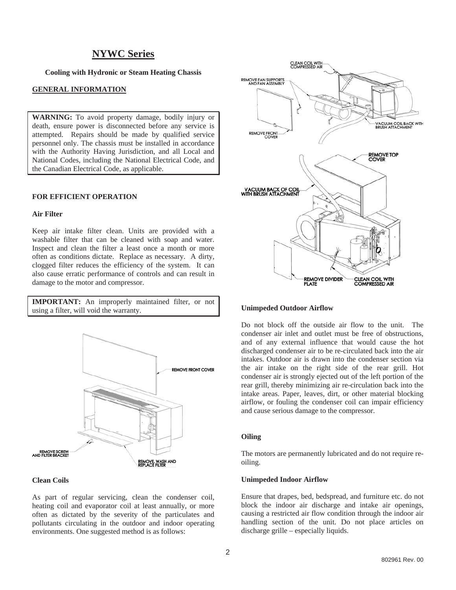# **NYWC Series**

**Cooling with Hydronic or Steam Heating Chassis** 

## **GENERAL INFORMATION**

**WARNING:** To avoid property damage, bodily injury or death, ensure power is disconnected before any service is attempted. Repairs should be made by qualified service personnel only. The chassis must be installed in accordance with the Authority Having Jurisdiction, and all Local and National Codes, including the National Electrical Code, and the Canadian Electrical Code, as applicable.

## **FOR EFFICIENT OPERATION**

## **Air Filter**

Keep air intake filter clean. Units are provided with a washable filter that can be cleaned with soap and water. Inspect and clean the filter a least once a month or more often as conditions dictate. Replace as necessary. A dirty, clogged filter reduces the efficiency of the system. It can also cause erratic performance of controls and can result in damage to the motor and compressor.

**IMPORTANT:** An improperly maintained filter, or not using a filter, will void the warranty.



#### **Clean Coils**

As part of regular servicing, clean the condenser coil, heating coil and evaporator coil at least annually, or more often as dictated by the severity of the particulates and pollutants circulating in the outdoor and indoor operating environments. One suggested method is as follows:



#### **Unimpeded Outdoor Airflow**

Do not block off the outside air flow to the unit. The condenser air inlet and outlet must be free of obstructions, and of any external influence that would cause the hot discharged condenser air to be re-circulated back into the air intakes. Outdoor air is drawn into the condenser section via the air intake on the right side of the rear grill. Hot condenser air is strongly ejected out of the left portion of the rear grill, thereby minimizing air re-circulation back into the intake areas. Paper, leaves, dirt, or other material blocking airflow, or fouling the condenser coil can impair efficiency and cause serious damage to the compressor.

#### **Oiling**

The motors are permanently lubricated and do not require reoiling.

#### **Unimpeded Indoor Airflow**

Ensure that drapes, bed, bedspread, and furniture etc. do not block the indoor air discharge and intake air openings, causing a restricted air flow condition through the indoor air handling section of the unit. Do not place articles on discharge grille – especially liquids.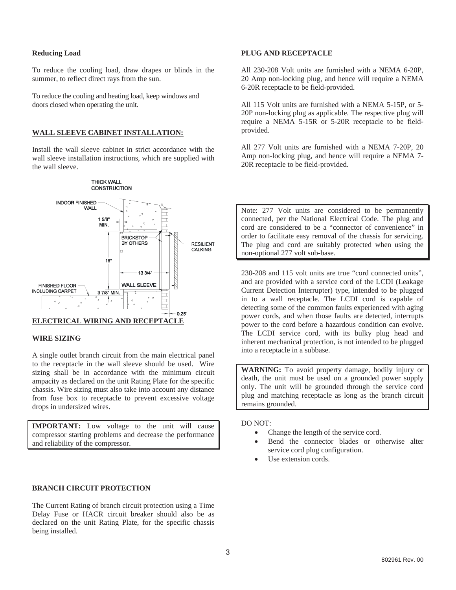## **Reducing Load**

To reduce the cooling load, draw drapes or blinds in the summer, to reflect direct rays from the sun.

To reduce the cooling and heating load, keep windows and doors closed when operating the unit.

## **WALL SLEEVE CABINET INSTALLATION:**

Install the wall sleeve cabinet in strict accordance with the wall sleeve installation instructions, which are supplied with the wall sleeve.



#### **WIRE SIZING**

A single outlet branch circuit from the main electrical panel to the receptacle in the wall sleeve should be used. Wire sizing shall be in accordance with the minimum circuit ampacity as declared on the unit Rating Plate for the specific chassis. Wire sizing must also take into account any distance from fuse box to receptacle to prevent excessive voltage drops in undersized wires.

**IMPORTANT:** Low voltage to the unit will cause compressor starting problems and decrease the performance and reliability of the compressor.

### **BRANCH CIRCUIT PROTECTION**

The Current Rating of branch circuit protection using a Time Delay Fuse or HACR circuit breaker should also be as declared on the unit Rating Plate, for the specific chassis being installed.

## **PLUG AND RECEPTACLE**

All 230-208 Volt units are furnished with a NEMA 6-20P, 20 Amp non-locking plug, and hence will require a NEMA 6-20R receptacle to be field-provided.

All 115 Volt units are furnished with a NEMA 5-15P, or 5- 20P non-locking plug as applicable. The respective plug will require a NEMA 5-15R or 5-20R receptacle to be fieldprovided.

All 277 Volt units are furnished with a NEMA 7-20P, 20 Amp non-locking plug, and hence will require a NEMA 7- 20R receptacle to be field-provided.

Note: 277 Volt units are considered to be permanently connected, per the National Electrical Code. The plug and cord are considered to be a "connector of convenience" in order to facilitate easy removal of the chassis for servicing. The plug and cord are suitably protected when using the non-optional 277 volt sub-base.

230-208 and 115 volt units are true "cord connected units", and are provided with a service cord of the LCDI (Leakage Current Detection Interrupter) type, intended to be plugged in to a wall receptacle. The LCDI cord is capable of detecting some of the common faults experienced with aging power cords, and when those faults are detected, interrupts power to the cord before a hazardous condition can evolve. The LCDI service cord, with its bulky plug head and inherent mechanical protection, is not intended to be plugged into a receptacle in a subbase.

**WARNING:** To avoid property damage, bodily injury or death, the unit must be used on a grounded power supply only. The unit will be grounded through the service cord plug and matching receptacle as long as the branch circuit remains grounded.

DO NOT:

- $\bullet$ Change the length of the service cord.
- - Bend the connector blades or otherwise alter service cord plug configuration.
- -Use extension cords.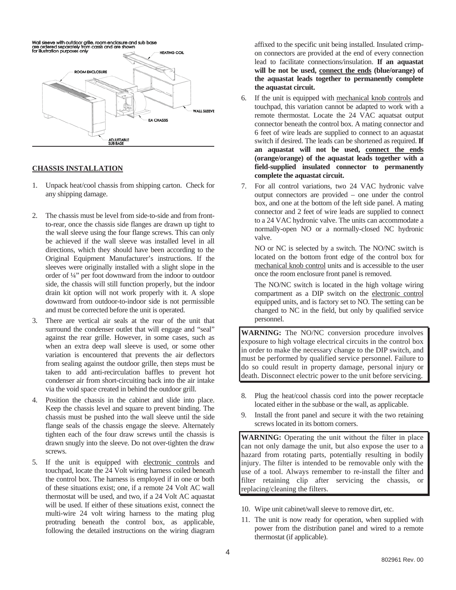

## **CHASSIS INSTALLATION**

- 1. Unpack heat/cool chassis from shipping carton. Check for any shipping damage.
- 2. The chassis must be level from side-to-side and from frontto-rear, once the chassis side flanges are drawn up tight to the wall sleeve using the four flange screws. This can only be achieved if the wall sleeve was installed level in all directions, which they should have been according to the Original Equipment Manufacturer's instructions. If the sleeves were originally installed with a slight slope in the order of ¼" per foot downward from the indoor to outdoor side, the chassis will still function properly, but the indoor drain kit option will not work properly with it. A slope downward from outdoor-to-indoor side is not permissible and must be corrected before the unit is operated.
- 3. There are vertical air seals at the rear of the unit that surround the condenser outlet that will engage and "seal" against the rear grille. However, in some cases, such as when an extra deep wall sleeve is used, or some other variation is encountered that prevents the air deflectors from sealing against the outdoor grille, then steps must be taken to add anti-recirculation baffles to prevent hot condenser air from short-circuiting back into the air intake via the void space created in behind the outdoor grill.
- 4. Position the chassis in the cabinet and slide into place. Keep the chassis level and square to prevent binding. The chassis must be pushed into the wall sleeve until the side flange seals of the chassis engage the sleeve. Alternately tighten each of the four draw screws until the chassis is drawn snugly into the sleeve. Do not over-tighten the draw screws.
- 5. If the unit is equipped with electronic controls and touchpad, locate the 24 Volt wiring harness coiled beneath the control box. The harness is employed if in one or both of these situations exist; one, if a remote 24 Volt AC wall thermostat will be used, and two, if a 24 Volt AC aquastat will be used. If either of these situations exist, connect the multi-wire 24 volt wiring harness to the mating plug protruding beneath the control box, as applicable, following the detailed instructions on the wiring diagram

affixed to the specific unit being installed. Insulated crimpon connectors are provided at the end of every connection lead to facilitate connections/insulation. **If an aquastat will be not be used, connect the ends (blue/orange) of the aquastat leads together to permanently complete the aquastat circuit.**

- 6. If the unit is equipped with mechanical knob controls and touchpad, this variation cannot be adapted to work with a remote thermostat. Locate the 24 VAC aquatsat output connector beneath the control box. A mating connector and 6 feet of wire leads are supplied to connect to an aquastat switch if desired. The leads can be shortened as required. **If an aquastat will not be used, connect the ends (orange/orange) of the aquastat leads together with a field-supplied insulated connector to permanently complete the aquastat circuit.**
- 7. For all control variations, two 24 VAC hydronic valve output connectors are provided – one under the control box, and one at the bottom of the left side panel. A mating connector and 2 feet of wire leads are supplied to connect to a 24 VAC hydronic valve. The units can accommodate a normally-open NO or a normally-closed NC hydronic valve.

NO or NC is selected by a switch. The NO/NC switch is located on the bottom front edge of the control box for mechanical knob control units and is accessible to the user once the room enclosure front panel is removed.

The NO/NC switch is located in the high voltage wiring compartment as a DIP switch on the electronic control equipped units, and is factory set to NO. The setting can be changed to NC in the field, but only by qualified service personnel.

**WARNING:** The NO/NC conversion procedure involves exposure to high voltage electrical circuits in the control box in order to make the necessary change to the DIP switch, and must be performed by qualified service personnel. Failure to do so could result in property damage, personal injury or death. Disconnect electric power to the unit before servicing.

- 8. Plug the heat/cool chassis cord into the power receptacle located either in the subbase or the wall, as applicable.
- Install the front panel and secure it with the two retaining screws located in its bottom corners.

**WARNING:** Operating the unit without the filter in place can not only damage the unit, but also expose the user to a hazard from rotating parts, potentially resulting in bodily injury. The filter is intended to be removable only with the use of a tool. Always remember to re-install the filter and filter retaining clip after servicing the chassis, or replacing/cleaning the filters.

- 10. Wipe unit cabinet/wall sleeve to remove dirt, etc.
- 11. The unit is now ready for operation, when supplied with power from the distribution panel and wired to a remote thermostat (if applicable).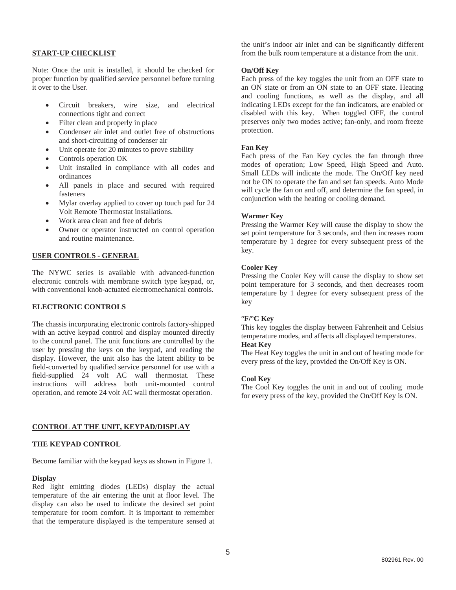## **START-UP CHECKLIST**

Note: Once the unit is installed, it should be checked for proper function by qualified service personnel before turning it over to the User.

- - Circuit breakers, wire size, and electrical connections tight and correct
- $\bullet$ Filter clean and properly in place
- - Condenser air inlet and outlet free of obstructions and short-circuiting of condenser air
- $\bullet$ Unit operate for 20 minutes to prove stability
- -Controls operation OK
- $\bullet$  Unit installed in compliance with all codes and ordinances
- $\bullet$  All panels in place and secured with required fasteners
- $\bullet$  Mylar overlay applied to cover up touch pad for 24 Volt Remote Thermostat installations.
- $\bullet$ Work area clean and free of debris
- - Owner or operator instructed on control operation and routine maintenance.

## **USER CONTROLS - GENERAL**

The NYWC series is available with advanced-function electronic controls with membrane switch type keypad, or, with conventional knob-actuated electromechanical controls.

## **ELECTRONIC CONTROLS**

The chassis incorporating electronic controls factory-shipped with an active keypad control and display mounted directly to the control panel. The unit functions are controlled by the user by pressing the keys on the keypad, and reading the display. However, the unit also has the latent ability to be field-converted by qualified service personnel for use with a field-supplied 24 volt AC wall thermostat. These instructions will address both unit-mounted control operation, and remote 24 volt AC wall thermostat operation.

## **CONTROL AT THE UNIT, KEYPAD/DISPLAY**

## **THE KEYPAD CONTROL**

Become familiar with the keypad keys as shown in Figure 1.

#### **Display**

Red light emitting diodes (LEDs) display the actual temperature of the air entering the unit at floor level. The display can also be used to indicate the desired set point temperature for room comfort. It is important to remember that the temperature displayed is the temperature sensed at

the unit's indoor air inlet and can be significantly different from the bulk room temperature at a distance from the unit.

## **On/Off Key**

Each press of the key toggles the unit from an OFF state to an ON state or from an ON state to an OFF state. Heating and cooling functions, as well as the display, and all indicating LEDs except for the fan indicators, are enabled or disabled with this key. When toggled OFF, the control preserves only two modes active; fan-only, and room freeze protection.

## **Fan Key**

Each press of the Fan Key cycles the fan through three modes of operation; Low Speed, High Speed and Auto. Small LEDs will indicate the mode. The On/Off key need not be ON to operate the fan and set fan speeds. Auto Mode will cycle the fan on and off, and determine the fan speed, in conjunction with the heating or cooling demand.

## **Warmer Key**

Pressing the Warmer Key will cause the display to show the set point temperature for 3 seconds, and then increases room temperature by 1 degree for every subsequent press of the key.

## **Cooler Key**

Pressing the Cooler Key will cause the display to show set point temperature for 3 seconds, and then decreases room temperature by 1 degree for every subsequent press of the key

## **°F/°C Key**

This key toggles the display between Fahrenheit and Celsius temperature modes, and affects all displayed temperatures.

## **Heat Key**

The Heat Key toggles the unit in and out of heating mode for every press of the key, provided the On/Off Key is ON.

#### **Cool Key**

The Cool Key toggles the unit in and out of cooling mode for every press of the key, provided the On/Off Key is ON.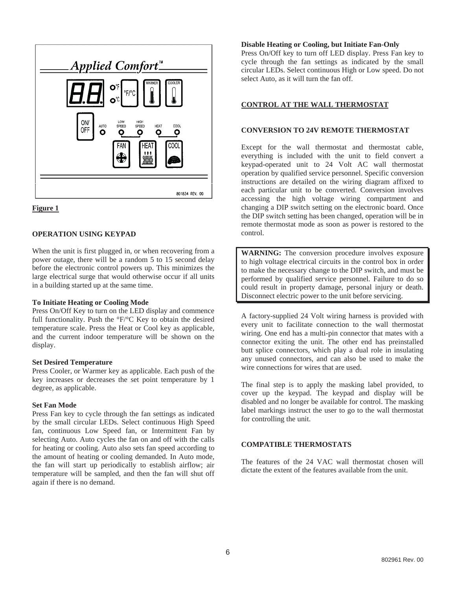



## **OPERATION USING KEYPAD**

When the unit is first plugged in, or when recovering from a power outage, there will be a random 5 to 15 second delay before the electronic control powers up. This minimizes the large electrical surge that would otherwise occur if all units in a building started up at the same time.

#### **To Initiate Heating or Cooling Mode**

Press On/Off Key to turn on the LED display and commence full functionality. Push the °F/°C Key to obtain the desired temperature scale. Press the Heat or Cool key as applicable, and the current indoor temperature will be shown on the display.

## **Set Desired Temperature**

Press Cooler, or Warmer key as applicable. Each push of the key increases or decreases the set point temperature by 1 degree, as applicable.

## **Set Fan Mode**

Press Fan key to cycle through the fan settings as indicated by the small circular LEDs. Select continuous High Speed fan, continuous Low Speed fan, or Intermittent Fan by selecting Auto. Auto cycles the fan on and off with the calls for heating or cooling. Auto also sets fan speed according to the amount of heating or cooling demanded. In Auto mode, the fan will start up periodically to establish airflow; air temperature will be sampled, and then the fan will shut off again if there is no demand.

## **Disable Heating or Cooling, but Initiate Fan-Only**

Press On/Off key to turn off LED display. Press Fan key to cycle through the fan settings as indicated by the small circular LEDs. Select continuous High or Low speed. Do not select Auto, as it will turn the fan off.

## **CONTROL AT THE WALL THERMOSTAT**

## **CONVERSION TO 24V REMOTE THERMOSTAT**

Except for the wall thermostat and thermostat cable, everything is included with the unit to field convert a keypad-operated unit to 24 Volt AC wall thermostat operation by qualified service personnel. Specific conversion instructions are detailed on the wiring diagram affixed to each particular unit to be converted. Conversion involves accessing the high voltage wiring compartment and changing a DIP switch setting on the electronic board. Once the DIP switch setting has been changed, operation will be in remote thermostat mode as soon as power is restored to the control.

**WARNING:** The conversion procedure involves exposure to high voltage electrical circuits in the control box in order to make the necessary change to the DIP switch, and must be performed by qualified service personnel. Failure to do so could result in property damage, personal injury or death. Disconnect electric power to the unit before servicing.

A factory-supplied 24 Volt wiring harness is provided with every unit to facilitate connection to the wall thermostat wiring. One end has a multi-pin connector that mates with a connector exiting the unit. The other end has preinstalled butt splice connectors, which play a dual role in insulating any unused connectors, and can also be used to make the wire connections for wires that are used.

The final step is to apply the masking label provided, to cover up the keypad. The keypad and display will be disabled and no longer be available for control. The masking label markings instruct the user to go to the wall thermostat for controlling the unit.

## **COMPATIBLE THERMOSTATS**

The features of the 24 VAC wall thermostat chosen will dictate the extent of the features available from the unit.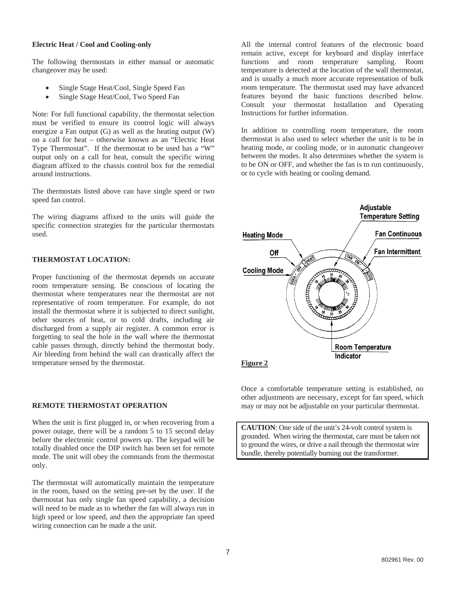#### **Electric Heat / Cool and Cooling-only**

The following thermostats in either manual or automatic changeover may be used:

- -Single Stage Heat/Cool, Single Speed Fan
- -Single Stage Heat/Cool, Two Speed Fan

Note: For full functional capability, the thermostat selection must be verified to ensure its control logic will always energize a Fan output (G) as well as the heating output (W) on a call for heat – otherwise known as an "Electric Heat Type Thermostat". If the thermostat to be used has a "W" output only on a call for heat, consult the specific wiring diagram affixed to the chassis control box for the remedial around instructions.

The thermostats listed above can have single speed or two speed fan control.

The wiring diagrams affixed to the units will guide the specific connection strategies for the particular thermostats used.

# **THERMOSTAT LOCATION:**

Proper functioning of the thermostat depends on accurate room temperature sensing. Be conscious of locating the thermostat where temperatures near the thermostat are not representative of room temperature. For example, do not install the thermostat where it is subjected to direct sunlight, other sources of heat, or to cold drafts, including air discharged from a supply air register. A common error is forgetting to seal the hole in the wall where the thermostat cable passes through, directly behind the thermostat body. Air bleeding from behind the wall can drastically affect the temperature sensed by the thermostat.

# **REMOTE THERMOSTAT OPERATION**

When the unit is first plugged in, or when recovering from a power outage, there will be a random 5 to 15 second delay before the electronic control powers up. The keypad will be totally disabled once the DIP switch has been set for remote mode. The unit will obey the commands from the thermostat only.

The thermostat will automatically maintain the temperature in the room, based on the setting pre-set by the user. If the thermostat has only single fan speed capability, a decision will need to be made as to whether the fan will always run in high speed or low speed, and then the appropriate fan speed wiring connection can be made a the unit.

All the internal control features of the electronic board remain active, except for keyboard and display interface functions and room temperature sampling. Room temperature is detected at the location of the wall thermostat, and is usually a much more accurate representation of bulk room temperature. The thermostat used may have advanced features beyond the basic functions described below. Consult your thermostat Installation and Operating Instructions for further information.

In addition to controlling room temperature, the room thermostat is also used to select whether the unit is to be in heating mode, or cooling mode, or in automatic changeover between the modes. It also determines whether the system is to be ON or OFF, and whether the fan is to run continuously, or to cycle with heating or cooling demand.



Once a comfortable temperature setting is established, no other adjustments are necessary, except for fan speed, which may or may not be adjustable on your particular thermostat.

**CAUTION**: One side of the unit's 24-volt control system is grounded. When wiring the thermostat, care must be taken not to ground the wires, or drive a nail through the thermostat wire bundle, thereby potentially burning out the transformer.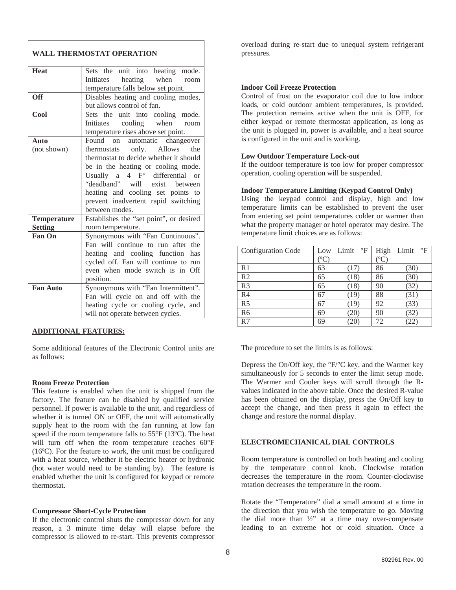## **WALL THERMOSTAT OPERATION**

| <b>Heat</b>        | Sets the unit into heating mode.        |  |  |  |  |
|--------------------|-----------------------------------------|--|--|--|--|
|                    | heating when room<br>Initiates          |  |  |  |  |
|                    | temperature falls below set point.      |  |  |  |  |
| <b>Off</b>         | Disables heating and cooling modes,     |  |  |  |  |
|                    | but allows control of fan.              |  |  |  |  |
| <b>Cool</b>        | Sets the unit into cooling mode.        |  |  |  |  |
|                    | Initiates cooling when room             |  |  |  |  |
|                    | temperature rises above set point.      |  |  |  |  |
| <b>Auto</b>        | Found on<br>automatic changeover        |  |  |  |  |
| (not shown)        | Allows the<br>only.<br>thermostats      |  |  |  |  |
|                    | thermostat to decide whether it should  |  |  |  |  |
|                    | be in the heating or cooling mode.      |  |  |  |  |
|                    | Usually a $4 \tFo$ differential or      |  |  |  |  |
|                    | "deadband" will exist between           |  |  |  |  |
|                    | heating and cooling set points to       |  |  |  |  |
|                    | prevent inadvertent rapid switching     |  |  |  |  |
|                    | between modes.                          |  |  |  |  |
| <b>Temperature</b> | Establishes the "set point", or desired |  |  |  |  |
| <b>Setting</b>     | room temperature.                       |  |  |  |  |
| Fan On             | Synonymous with "Fan Continuous".       |  |  |  |  |
|                    | Fan will continue to run after the      |  |  |  |  |
|                    | heating and cooling function has        |  |  |  |  |
|                    | cycled off. Fan will continue to run    |  |  |  |  |
|                    | even when mode switch is in Off         |  |  |  |  |
|                    | position.                               |  |  |  |  |
| <b>Fan Auto</b>    | Synonymous with "Fan Intermittent".     |  |  |  |  |
|                    | Fan will cycle on and off with the      |  |  |  |  |
|                    | heating cycle or cooling cycle, and     |  |  |  |  |
|                    | will not operate between cycles.        |  |  |  |  |
|                    |                                         |  |  |  |  |

## **ADDITIONAL FEATURES:**

Some additional features of the Electronic Control units are as follows:

#### **Room Freeze Protection**

This feature is enabled when the unit is shipped from the factory. The feature can be disabled by qualified service personnel. If power is available to the unit, and regardless of whether it is turned ON or OFF, the unit will automatically supply heat to the room with the fan running at low fan speed if the room temperature falls to 55°F (13ºC). The heat will turn off when the room temperature reaches 60°F (16ºC). For the feature to work, the unit must be configured with a heat source, whether it be electric heater or hydronic (hot water would need to be standing by). The feature is enabled whether the unit is configured for keypad or remote thermostat.

#### **Compressor Short-Cycle Protection**

If the electronic control shuts the compressor down for any reason, a 3 minute time delay will elapse before the compressor is allowed to re-start. This prevents compressor

overload during re-start due to unequal system refrigerant pressures.

### **Indoor Coil Freeze Protection**

Control of frost on the evaporator coil due to low indoor loads, or cold outdoor ambient temperatures, is provided. The protection remains active when the unit is OFF, for either keypad or remote thermostat application, as long as the unit is plugged in, power is available, and a heat source is configured in the unit and is working.

### **Low Outdoor Temperature Lock-out**

If the outdoor temperature is too low for proper compressor operation, cooling operation will be suspended.

## **Indoor Temperature Limiting (Keypad Control Only)**

Using the keypad control and display, high and low temperature limits can be established to prevent the user from entering set point temperatures colder or warmer than what the property manager or hotel operator may desire. The temperature limit choices are as follows:

| <b>Configuration Code</b> | Low | $\mathrm{^{\circ}F}$<br>Limit | High           | $\mathrm{^{\circ}F}$<br>Limit |
|---------------------------|-----|-------------------------------|----------------|-------------------------------|
|                           | °°C |                               | $\overline{O}$ |                               |
| R <sub>1</sub>            | 63  | 17                            | 86             | (30)                          |
| R <sub>2</sub>            | 65  | (18)                          | 86             | 30)                           |
| R <sub>3</sub>            | 65  | (18)                          | 90             | 32                            |
| R <sub>4</sub>            | 67  | (19)                          | 88             | 31)                           |
| R <sub>5</sub>            | 67  | 19                            | 92             | 33                            |
| R <sub>6</sub>            | 69  | 20                            | 90             | 32                            |
| R7                        | 69  | 20                            | 72             | 22                            |

The procedure to set the limits is as follows:

Depress the On/Off key, the °F/°C key, and the Warmer key simultaneously for 5 seconds to enter the limit setup mode. The Warmer and Cooler keys will scroll through the Rvalues indicated in the above table. Once the desired R-value has been obtained on the display, press the On/Off key to accept the change, and then press it again to effect the change and restore the normal display.

## **ELECTROMECHANICAL DIAL CONTROLS**

Room temperature is controlled on both heating and cooling by the temperature control knob. Clockwise rotation decreases the temperature in the room. Counter-clockwise rotation decreases the temperature in the room.

Rotate the "Temperature" dial a small amount at a time in the direction that you wish the temperature to go. Moving the dial more than  $\frac{1}{2}$ " at a time may over-compensate leading to an extreme hot or cold situation. Once a